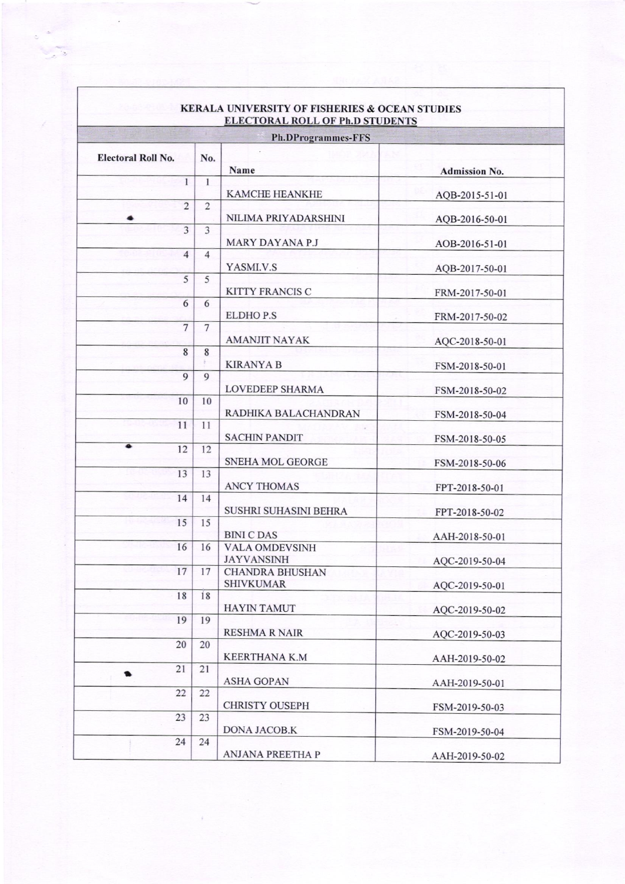| <b>KERALA UNIVERSITY OF FISHERIES &amp; OCEAN STUDIES</b><br><b>ELECTORAL ROLL OF Ph.D STUDENTS</b> |                      |                                             |                      |  |  |
|-----------------------------------------------------------------------------------------------------|----------------------|---------------------------------------------|----------------------|--|--|
|                                                                                                     |                      | <b>Ph.DProgrammes-FFS</b>                   |                      |  |  |
| <b>Electoral Roll No.</b>                                                                           | No.                  | Name                                        | <b>Admission No.</b> |  |  |
| $\mathbf{1}$                                                                                        | $\mathbf{1}$         | <b>KAMCHE HEANKHE</b>                       | AQB-2015-51-01       |  |  |
| $\overline{2}$                                                                                      | $\sqrt{2}$           | NILIMA PRIYADARSHINI                        | AQB-2016-50-01       |  |  |
| $\overline{3}$                                                                                      | $\overline{3}$       | <b>MARY DAYANA P.J</b>                      | AOB-2016-51-01       |  |  |
| $\overline{4}$                                                                                      | $\overline{4}$       | YASMI.V.S                                   | AQB-2017-50-01       |  |  |
| 5                                                                                                   | $\sqrt{5}$           | <b>KITTY FRANCIS C</b>                      | FRM-2017-50-01       |  |  |
| 6                                                                                                   | 6                    | <b>ELDHOP.S</b>                             | FRM-2017-50-02       |  |  |
| $\overline{7}$                                                                                      | $\overline{7}$       | <b>AMANJIT NAYAK</b>                        | AQC-2018-50-01       |  |  |
| 8                                                                                                   | $8\phantom{1}$<br>b. | <b>KIRANYA B</b>                            | FSM-2018-50-01       |  |  |
| $\overline{9}$                                                                                      | 9                    | <b>LOVEDEEP SHARMA</b>                      | FSM-2018-50-02       |  |  |
| 10                                                                                                  | 10                   | RADHIKA BALACHANDRAN                        | FSM-2018-50-04       |  |  |
| 11                                                                                                  | 11                   | <b>SACHIN PANDIT</b>                        |                      |  |  |
| ٠<br>12                                                                                             | 12                   | <b>SNEHA MOL GEORGE</b>                     | FSM-2018-50-05       |  |  |
| 13                                                                                                  | 13                   |                                             | FSM-2018-50-06       |  |  |
| 14                                                                                                  | 14                   | <b>ANCY THOMAS</b>                          | FPT-2018-50-01       |  |  |
| 15                                                                                                  | 15                   | SUSHRI SUHASINI BEHRA                       | FPT-2018-50-02       |  |  |
| 16                                                                                                  | 16                   | <b>BINI C DAS</b><br><b>VALA OMDEVSINH</b>  | AAH-2018-50-01       |  |  |
| 17                                                                                                  | 17                   | <b>JAYVANSINH</b><br><b>CHANDRA BHUSHAN</b> | AQC-2019-50-04       |  |  |
| 18                                                                                                  | 18                   | <b>SHIVKUMAR</b>                            | AQC-2019-50-01       |  |  |
| 19                                                                                                  | 19                   | <b>HAYIN TAMUT</b>                          | AQC-2019-50-02       |  |  |
| 20                                                                                                  | 20                   | <b>RESHMA R NAIR</b>                        | AQC-2019-50-03       |  |  |
| 21                                                                                                  | 21                   | <b>KEERTHANA K.M</b>                        | AAH-2019-50-02       |  |  |
| 22                                                                                                  | 22                   | <b>ASHA GOPAN</b>                           | AAH-2019-50-01       |  |  |
| 23                                                                                                  | 23                   | <b>CHRISTY OUSEPH</b>                       | FSM-2019-50-03       |  |  |
| 24                                                                                                  | 24                   | DONA JACOB.K                                | FSM-2019-50-04       |  |  |
|                                                                                                     |                      | ANJANA PREETHA P                            | AAH-2019-50-02       |  |  |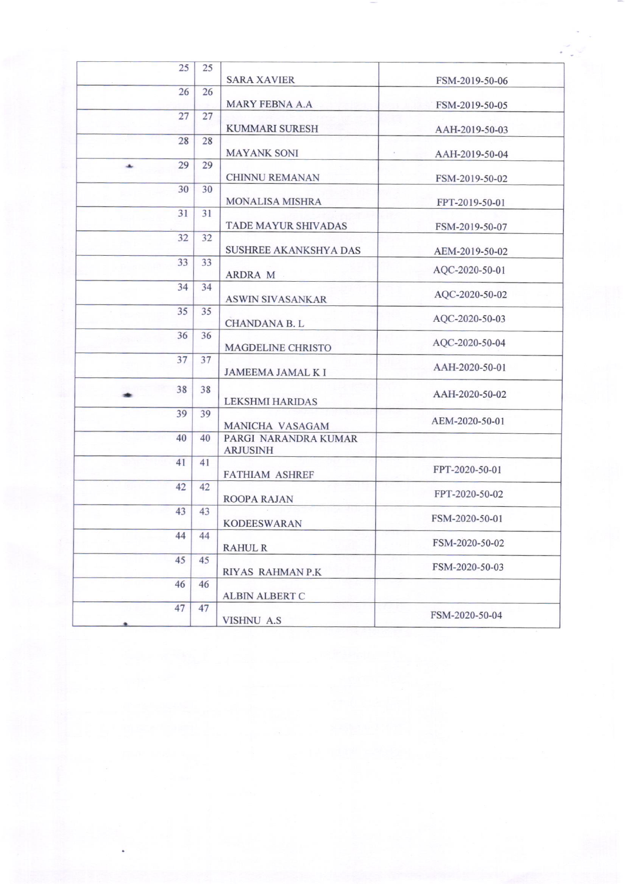| 25       | 25 | <b>SARA XAVIER</b>                      | FSM-2019-50-06 |
|----------|----|-----------------------------------------|----------------|
| 26       | 26 | MARY FEBNA A.A                          | FSM-2019-50-05 |
| 27       | 27 | <b>KUMMARI SURESH</b>                   | AAH-2019-50-03 |
| 28       | 28 | <b>MAYANK SONI</b>                      | AAH-2019-50-04 |
| 29<br>عد | 29 | <b>CHINNU REMANAN</b>                   | FSM-2019-50-02 |
| 30       | 30 | <b>MONALISA MISHRA</b>                  | FPT-2019-50-01 |
| 31       | 31 | TADE MAYUR SHIVADAS                     | FSM-2019-50-07 |
| 32       | 32 | <b>SUSHREE AKANKSHYA DAS</b>            | AEM-2019-50-02 |
| 33       | 33 | <b>ARDRA M</b>                          | AQC-2020-50-01 |
| 34       | 34 | <b>ASWIN SIVASANKAR</b>                 | AQC-2020-50-02 |
| 35       | 35 | <b>CHANDANA B. L</b>                    | AQC-2020-50-03 |
| 36       | 36 | MAGDELINE CHRISTO                       | AQC-2020-50-04 |
| 37       | 37 | <b>JAMEEMA JAMAL K I</b>                | AAH-2020-50-01 |
| 38       | 38 | <b>LEKSHMI HARIDAS</b>                  | AAH-2020-50-02 |
| 39       | 39 | MANICHA VASAGAM                         | AEM-2020-50-01 |
| 40       | 40 | PARGI NARANDRA KUMAR<br><b>ARJUSINH</b> |                |
| 41       | 41 | <b>FATHIAM ASHREF</b>                   | FPT-2020-50-01 |
| 42       | 42 | <b>ROOPA RAJAN</b>                      | FPT-2020-50-02 |
| 43       | 43 | <b>KODEESWARAN</b>                      | FSM-2020-50-01 |
| 44       | 44 | <b>RAHUL R</b>                          | FSM-2020-50-02 |
| 45       | 45 | RIYAS RAHMAN P.K                        | FSM-2020-50-03 |
| 46       | 46 | <b>ALBIN ALBERT C</b>                   |                |
| 47       | 47 | VISHNU A.S                              | FSM-2020-50-04 |